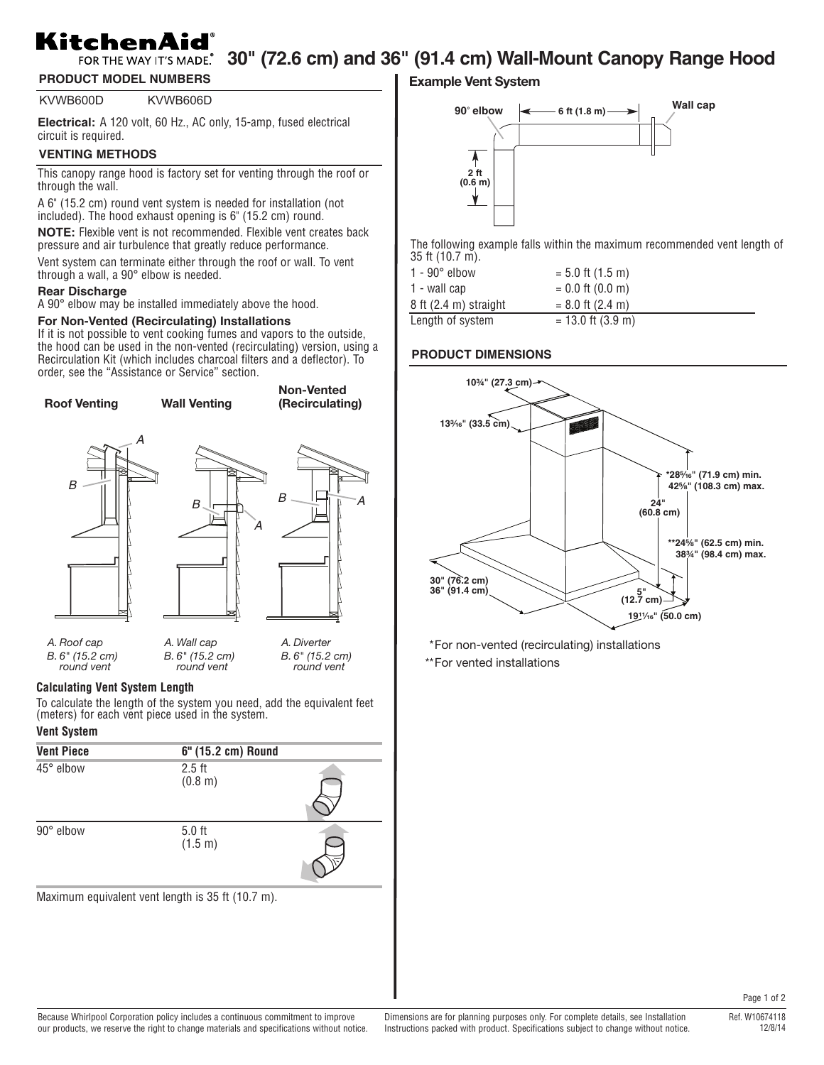# KitchenAid

# FOR THE WAY IT'S MADE. 30" (72.6 cm) and 36" (91.4 cm) Wall-Mount Canopy Range Hood

**PRODUCT MODEL NUMBERS**

KVWB600D KVWB606D

**Electrical:** A 120 volt, 60 Hz., AC only, 15-amp, fused electrical circuit is required.

# **VENTING METHODS**

This canopy range hood is factory set for venting through the roof or through the wall.

A 6" (15.2 cm) round vent system is needed for installation (not included). The hood exhaust opening is 6" (15.2 cm) round.

**NOTE:** Flexible vent is not recommended. Flexible vent creates back pressure and air turbulence that greatly reduce performance.

Vent system can terminate either through the roof or wall. To vent through a wall, a 90° elbow is needed.

### **Rear Discharge**

A 90° elbow may be installed immediately above the hood.

### **For Non-Vented (Recirculating) Installations**

If it is not possible to vent cooking fumes and vapors to the outside, the hood can be used in the non-vented (recirculating) version, using a Recirculation Kit (which includes charcoal filters and a deflector). To order, see the "Assistance or Service" section.



#### **Calculating Vent System Length**

To calculate the length of the system you need, add the equivalent feet (meters) for each vent piece used in the system.

## **Vent System**

| <b>Vent Piece</b> | 6" (15.2 cm) Round  |  |
|-------------------|---------------------|--|
| 45° elbow         | $2.5$ ft<br>(0.8 m) |  |
| 90° elbow         | $5.0$ ft<br>(1.5 m) |  |

Maximum equivalent vent length is 35 ft (10.7 m).

# **Example Vent System**



The following example falls within the maximum recommended vent length of 35 ft (10.7 m).

| $1 - 90^\circ$ elbow              | $= 5.0$ ft (1.5 m)  |
|-----------------------------------|---------------------|
| 1 - wall cap                      | $= 0.0$ ft (0.0 m)  |
| $8$ ft $(2.4 \text{ m})$ straight | $= 8.0$ ft (2.4 m)  |
| Length of system                  | $= 13.0$ ft (3.9 m) |

### **PRODUCT DIMENSIONS**



\*For non-vented (recirculating) installations

\*\*For vented installations